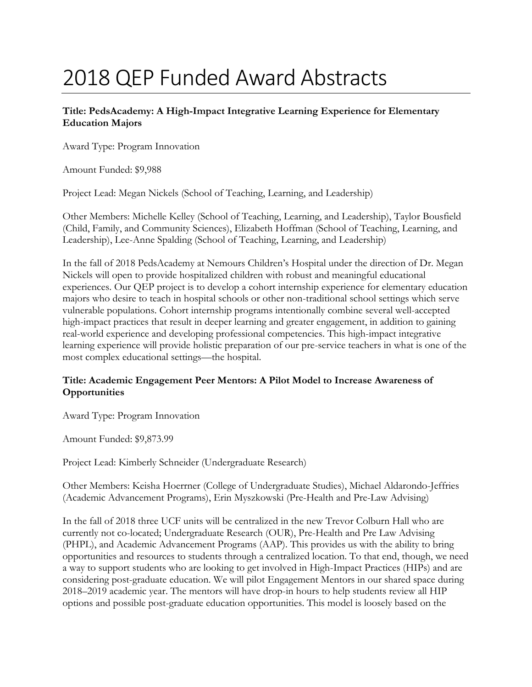# 2018 QEP Funded Award Abstracts

# **Title: PedsAcademy: A High-Impact Integrative Learning Experience for Elementary Education Majors**

Award Type: Program Innovation

Amount Funded: \$9,988

Project Lead: Megan Nickels (School of Teaching, Learning, and Leadership)

Other Members: Michelle Kelley (School of Teaching, Learning, and Leadership), Taylor Bousfield (Child, Family, and Community Sciences), Elizabeth Hoffman (School of Teaching, Learning, and Leadership), Lee-Anne Spalding (School of Teaching, Learning, and Leadership)

In the fall of 2018 PedsAcademy at Nemours Children's Hospital under the direction of Dr. Megan Nickels will open to provide hospitalized children with robust and meaningful educational experiences. Our QEP project is to develop a cohort internship experience for elementary education majors who desire to teach in hospital schools or other non-traditional school settings which serve vulnerable populations. Cohort internship programs intentionally combine several well-accepted high-impact practices that result in deeper learning and greater engagement, in addition to gaining real-world experience and developing professional competencies. This high-impact integrative learning experience will provide holistic preparation of our pre-service teachers in what is one of the most complex educational settings—the hospital.

## **Title: Academic Engagement Peer Mentors: A Pilot Model to Increase Awareness of Opportunities**

Award Type: Program Innovation

Amount Funded: \$9,873.99

Project Lead: Kimberly Schneider (Undergraduate Research)

Other Members: Keisha Hoerrner (College of Undergraduate Studies), Michael Aldarondo-Jeffries (Academic Advancement Programs), Erin Myszkowski (Pre-Health and Pre-Law Advising)

In the fall of 2018 three UCF units will be centralized in the new Trevor Colburn Hall who are currently not co-located; Undergraduate Research (OUR), Pre-Health and Pre Law Advising (PHPL), and Academic Advancement Programs (AAP). This provides us with the ability to bring opportunities and resources to students through a centralized location. To that end, though, we need a way to support students who are looking to get involved in High-Impact Practices (HIPs) and are considering post-graduate education. We will pilot Engagement Mentors in our shared space during 2018–2019 academic year. The mentors will have drop-in hours to help students review all HIP options and possible post-graduate education opportunities. This model is loosely based on the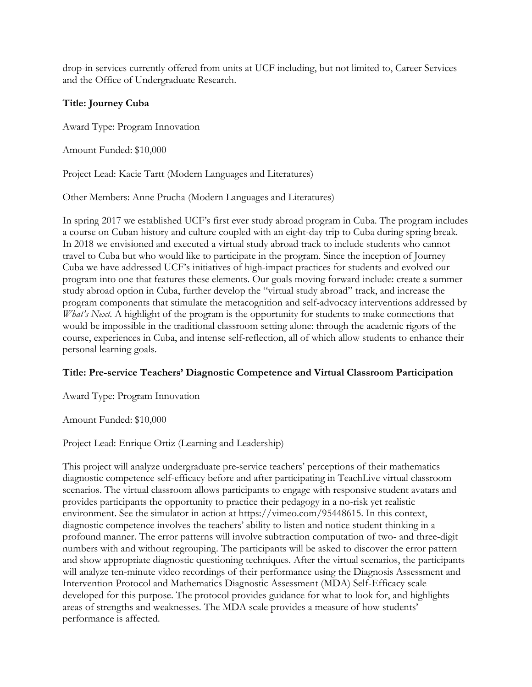drop-in services currently offered from units at UCF including, but not limited to, Career Services and the Office of Undergraduate Research.

# **Title: Journey Cuba**

Award Type: Program Innovation

Amount Funded: \$10,000

Project Lead: Kacie Tartt (Modern Languages and Literatures)

Other Members: Anne Prucha (Modern Languages and Literatures)

In spring 2017 we established UCF's first ever study abroad program in Cuba. The program includes a course on Cuban history and culture coupled with an eight-day trip to Cuba during spring break. In 2018 we envisioned and executed a virtual study abroad track to include students who cannot travel to Cuba but who would like to participate in the program. Since the inception of Journey Cuba we have addressed UCF's initiatives of high-impact practices for students and evolved our program into one that features these elements. Our goals moving forward include: create a summer study abroad option in Cuba, further develop the "virtual study abroad" track, and increase the program components that stimulate the metacognition and self-advocacy interventions addressed by *What's Next*. A highlight of the program is the opportunity for students to make connections that would be impossible in the traditional classroom setting alone: through the academic rigors of the course, experiences in Cuba, and intense self-reflection, all of which allow students to enhance their personal learning goals.

## **Title: Pre-service Teachers' Diagnostic Competence and Virtual Classroom Participation**

Award Type: Program Innovation

Amount Funded: \$10,000

Project Lead: Enrique Ortiz (Learning and Leadership)

This project will analyze undergraduate pre-service teachers' perceptions of their mathematics diagnostic competence self-efficacy before and after participating in TeachLive virtual classroom scenarios. The virtual classroom allows participants to engage with responsive student avatars and provides participants the opportunity to practice their pedagogy in a no-risk yet realistic environment. See the simulator in action at https://vimeo.com/95448615. In this context, diagnostic competence involves the teachers' ability to listen and notice student thinking in a profound manner. The error patterns will involve subtraction computation of two- and three-digit numbers with and without regrouping. The participants will be asked to discover the error pattern and show appropriate diagnostic questioning techniques. After the virtual scenarios, the participants will analyze ten-minute video recordings of their performance using the Diagnosis Assessment and Intervention Protocol and Mathematics Diagnostic Assessment (MDA) Self-Efficacy scale developed for this purpose. The protocol provides guidance for what to look for, and highlights areas of strengths and weaknesses. The MDA scale provides a measure of how students' performance is affected.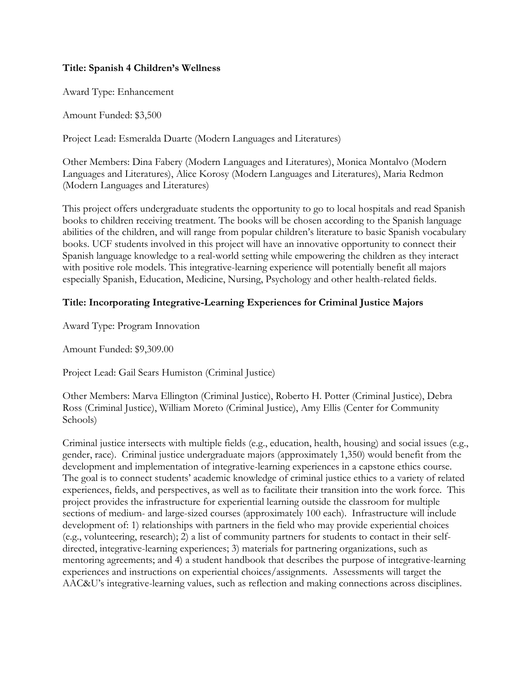## **Title: Spanish 4 Children's Wellness**

Award Type: Enhancement

Amount Funded: \$3,500

Project Lead: Esmeralda Duarte (Modern Languages and Literatures)

Other Members: Dina Fabery (Modern Languages and Literatures), Monica Montalvo (Modern Languages and Literatures), Alice Korosy (Modern Languages and Literatures), Maria Redmon (Modern Languages and Literatures)

This project offers undergraduate students the opportunity to go to local hospitals and read Spanish books to children receiving treatment. The books will be chosen according to the Spanish language abilities of the children, and will range from popular children's literature to basic Spanish vocabulary books. UCF students involved in this project will have an innovative opportunity to connect their Spanish language knowledge to a real-world setting while empowering the children as they interact with positive role models. This integrative-learning experience will potentially benefit all majors especially Spanish, Education, Medicine, Nursing, Psychology and other health-related fields.

# **Title: Incorporating Integrative-Learning Experiences for Criminal Justice Majors**

Award Type: Program Innovation

Amount Funded: \$9,309.00

Project Lead: Gail Sears Humiston (Criminal Justice)

Other Members: Marva Ellington (Criminal Justice), Roberto H. Potter (Criminal Justice), Debra Ross (Criminal Justice), William Moreto (Criminal Justice), Amy Ellis (Center for Community Schools)

Criminal justice intersects with multiple fields (e.g., education, health, housing) and social issues (e.g., gender, race). Criminal justice undergraduate majors (approximately 1,350) would benefit from the development and implementation of integrative-learning experiences in a capstone ethics course. The goal is to connect students' academic knowledge of criminal justice ethics to a variety of related experiences, fields, and perspectives, as well as to facilitate their transition into the work force. This project provides the infrastructure for experiential learning outside the classroom for multiple sections of medium- and large-sized courses (approximately 100 each). Infrastructure will include development of: 1) relationships with partners in the field who may provide experiential choices (e.g., volunteering, research); 2) a list of community partners for students to contact in their selfdirected, integrative-learning experiences; 3) materials for partnering organizations, such as mentoring agreements; and 4) a student handbook that describes the purpose of integrative-learning experiences and instructions on experiential choices/assignments. Assessments will target the AAC&U's integrative-learning values, such as reflection and making connections across disciplines.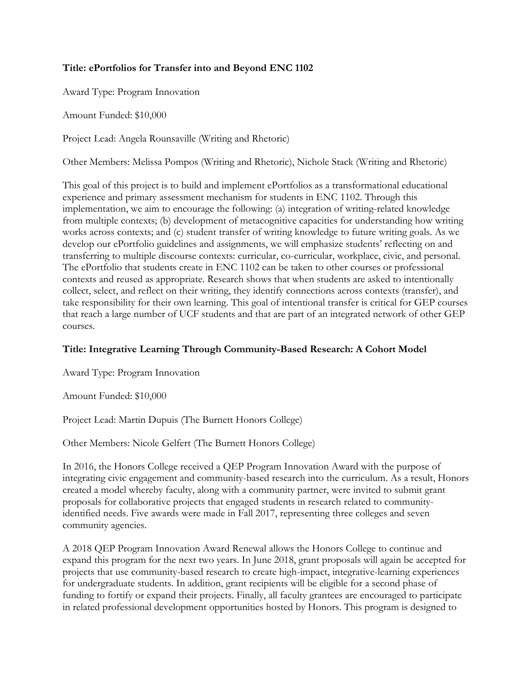## **Title: ePortfolios for Transfer into and Beyond ENC 1102**

Award Type: Program Innovation

Amount Funded: \$10,000

Project Lead: Angela Rounsaville (Writing and Rhetoric)

Other Members: Melissa Pompos (Writing and Rhetoric), Nichole Stack (Writing and Rhetoric)

This goal of this project is to build and implement ePortfolios as a transformational educational experience and primary assessment mechanism for students in ENC 1102. Through this implementation, we aim to encourage the following: (a) integration of writing-related knowledge from multiple contexts; (b) development of metacognitive capacities for understanding how writing works across contexts; and (c) student transfer of writing knowledge to future writing goals. As we develop our ePortfolio guidelines and assignments, we will emphasize students' reflecting on and transferring to multiple discourse contexts: curricular, co-curricular, workplace, civic, and personal. The ePortfolio that students create in ENC 1102 can be taken to other courses or professional contexts and reused as appropriate. Research shows that when students are asked to intentionally collect, select, and reflect on their writing, they identify connections across contexts (transfer), and take responsibility for their own learning. This goal of intentional transfer is critical for GEP courses that reach a large number of UCF students and that are part of an integrated network of other GEP courses.

## **Title: Integrative Learning Through Community-Based Research: A Cohort Model**

Award Type: Program Innovation

Amount Funded: \$10,000

Project Lead: Martin Dupuis (The Burnett Honors College)

Other Members: Nicole Gelfert (The Burnett Honors College)

In 2016, the Honors College received a QEP Program Innovation Award with the purpose of integrating civic engagement and community-based research into the curriculum. As a result, Honors created a model whereby faculty, along with a community partner, were invited to submit grant proposals for collaborative projects that engaged students in research related to communityidentified needs. Five awards were made in Fall 2017, representing three colleges and seven community agencies.

A 2018 QEP Program Innovation Award Renewal allows the Honors College to continue and expand this program for the next two years. In June 2018, grant proposals will again be accepted for projects that use community-based research to create high-impact, integrative-learning experiences for undergraduate students. In addition, grant recipients will be eligible for a second phase of funding to fortify or expand their projects. Finally, all faculty grantees are encouraged to participate in related professional development opportunities hosted by Honors. This program is designed to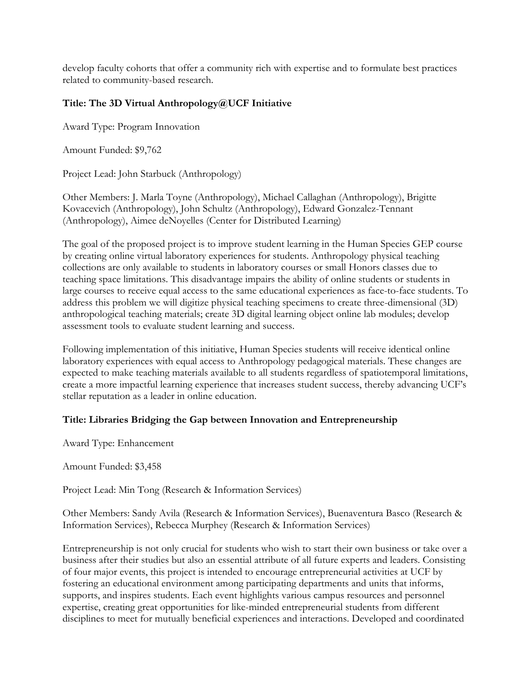develop faculty cohorts that offer a community rich with expertise and to formulate best practices related to community-based research.

# **Title: The 3D Virtual Anthropology@UCF Initiative**

Award Type: Program Innovation

Amount Funded: \$9,762

Project Lead: John Starbuck (Anthropology)

Other Members: J. Marla Toyne (Anthropology), Michael Callaghan (Anthropology), Brigitte Kovacevich (Anthropology), John Schultz (Anthropology), Edward Gonzalez-Tennant (Anthropology), Aimee deNoyelles (Center for Distributed Learning)

The goal of the proposed project is to improve student learning in the Human Species GEP course by creating online virtual laboratory experiences for students. Anthropology physical teaching collections are only available to students in laboratory courses or small Honors classes due to teaching space limitations. This disadvantage impairs the ability of online students or students in large courses to receive equal access to the same educational experiences as face-to-face students. To address this problem we will digitize physical teaching specimens to create three-dimensional (3D) anthropological teaching materials; create 3D digital learning object online lab modules; develop assessment tools to evaluate student learning and success.

Following implementation of this initiative, Human Species students will receive identical online laboratory experiences with equal access to Anthropology pedagogical materials. These changes are expected to make teaching materials available to all students regardless of spatiotemporal limitations, create a more impactful learning experience that increases student success, thereby advancing UCF's stellar reputation as a leader in online education.

## **Title: Libraries Bridging the Gap between Innovation and Entrepreneurship**

Award Type: Enhancement

Amount Funded: \$3,458

Project Lead: Min Tong (Research & Information Services)

Other Members: Sandy Avila (Research & Information Services), Buenaventura Basco (Research & Information Services), Rebecca Murphey (Research & Information Services)

Entrepreneurship is not only crucial for students who wish to start their own business or take over a business after their studies but also an essential attribute of all future experts and leaders. Consisting of four major events, this project is intended to encourage entrepreneurial activities at UCF by fostering an educational environment among participating departments and units that informs, supports, and inspires students. Each event highlights various campus resources and personnel expertise, creating great opportunities for like-minded entrepreneurial students from different disciplines to meet for mutually beneficial experiences and interactions. Developed and coordinated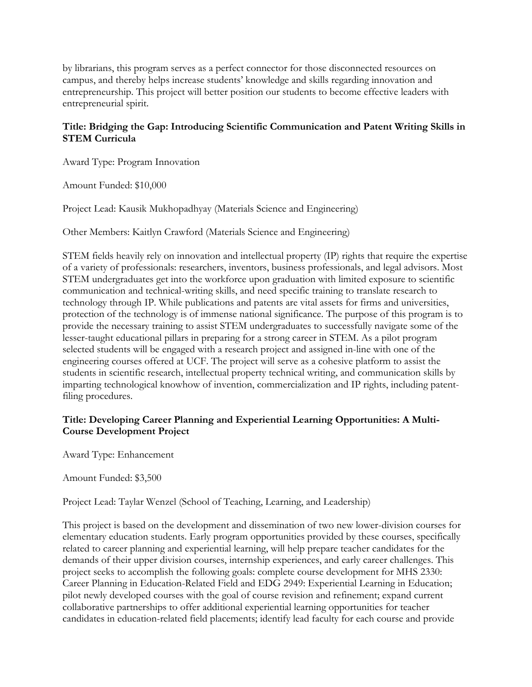by librarians, this program serves as a perfect connector for those disconnected resources on campus, and thereby helps increase students' knowledge and skills regarding innovation and entrepreneurship. This project will better position our students to become effective leaders with entrepreneurial spirit.

# **Title: Bridging the Gap: Introducing Scientific Communication and Patent Writing Skills in STEM Curricula**

Award Type: Program Innovation

Amount Funded: \$10,000

Project Lead: Kausik Mukhopadhyay (Materials Science and Engineering)

Other Members: Kaitlyn Crawford (Materials Science and Engineering)

STEM fields heavily rely on innovation and intellectual property (IP) rights that require the expertise of a variety of professionals: researchers, inventors, business professionals, and legal advisors. Most STEM undergraduates get into the workforce upon graduation with limited exposure to scientific communication and technical-writing skills, and need specific training to translate research to technology through IP. While publications and patents are vital assets for firms and universities, protection of the technology is of immense national significance. The purpose of this program is to provide the necessary training to assist STEM undergraduates to successfully navigate some of the lesser-taught educational pillars in preparing for a strong career in STEM. As a pilot program selected students will be engaged with a research project and assigned in-line with one of the engineering courses offered at UCF. The project will serve as a cohesive platform to assist the students in scientific research, intellectual property technical writing, and communication skills by imparting technological knowhow of invention, commercialization and IP rights, including patentfiling procedures.

# **Title: Developing Career Planning and Experiential Learning Opportunities: A Multi-Course Development Project**

Award Type: Enhancement

Amount Funded: \$3,500

Project Lead: Taylar Wenzel (School of Teaching, Learning, and Leadership)

This project is based on the development and dissemination of two new lower-division courses for elementary education students. Early program opportunities provided by these courses, specifically related to career planning and experiential learning, will help prepare teacher candidates for the demands of their upper division courses, internship experiences, and early career challenges. This project seeks to accomplish the following goals: complete course development for MHS 2330: Career Planning in Education-Related Field and EDG 2949: Experiential Learning in Education; pilot newly developed courses with the goal of course revision and refinement; expand current collaborative partnerships to offer additional experiential learning opportunities for teacher candidates in education-related field placements; identify lead faculty for each course and provide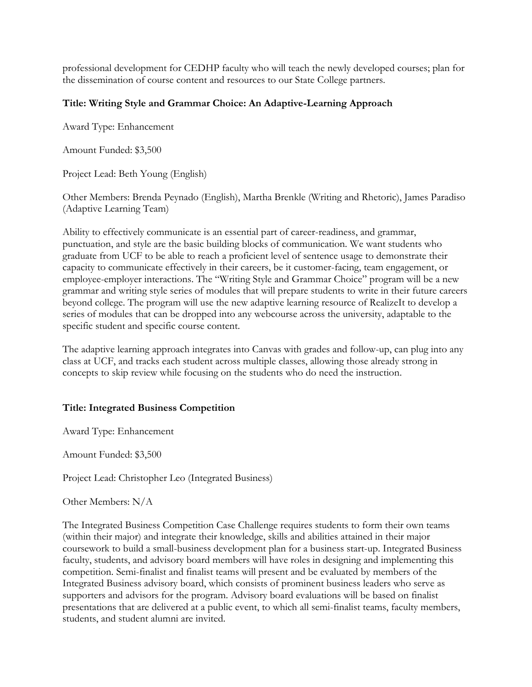professional development for CEDHP faculty who will teach the newly developed courses; plan for the dissemination of course content and resources to our State College partners.

## **Title: Writing Style and Grammar Choice: An Adaptive-Learning Approach**

Award Type: Enhancement

Amount Funded: \$3,500

Project Lead: Beth Young (English)

Other Members: Brenda Peynado (English), Martha Brenkle (Writing and Rhetoric), James Paradiso (Adaptive Learning Team)

Ability to effectively communicate is an essential part of career-readiness, and grammar, punctuation, and style are the basic building blocks of communication. We want students who graduate from UCF to be able to reach a proficient level of sentence usage to demonstrate their capacity to communicate effectively in their careers, be it customer-facing, team engagement, or employee-employer interactions. The "Writing Style and Grammar Choice" program will be a new grammar and writing style series of modules that will prepare students to write in their future careers beyond college. The program will use the new adaptive learning resource of RealizeIt to develop a series of modules that can be dropped into any webcourse across the university, adaptable to the specific student and specific course content.

The adaptive learning approach integrates into Canvas with grades and follow-up, can plug into any class at UCF, and tracks each student across multiple classes, allowing those already strong in concepts to skip review while focusing on the students who do need the instruction.

## **Title: Integrated Business Competition**

Award Type: Enhancement

Amount Funded: \$3,500

Project Lead: Christopher Leo (Integrated Business)

Other Members: N/A

The Integrated Business Competition Case Challenge requires students to form their own teams (within their major) and integrate their knowledge, skills and abilities attained in their major coursework to build a small-business development plan for a business start-up. Integrated Business faculty, students, and advisory board members will have roles in designing and implementing this competition. Semi-finalist and finalist teams will present and be evaluated by members of the Integrated Business advisory board, which consists of prominent business leaders who serve as supporters and advisors for the program. Advisory board evaluations will be based on finalist presentations that are delivered at a public event, to which all semi-finalist teams, faculty members, students, and student alumni are invited.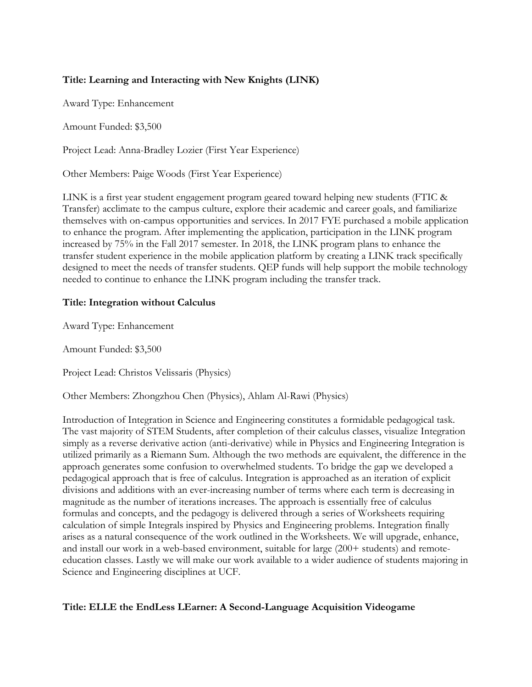# **Title: Learning and Interacting with New Knights (LINK)**

Award Type: Enhancement

Amount Funded: \$3,500

Project Lead: Anna-Bradley Lozier (First Year Experience)

Other Members: Paige Woods (First Year Experience)

LINK is a first year student engagement program geared toward helping new students (FTIC & Transfer) acclimate to the campus culture, explore their academic and career goals, and familiarize themselves with on-campus opportunities and services. In 2017 FYE purchased a mobile application to enhance the program. After implementing the application, participation in the LINK program increased by 75% in the Fall 2017 semester. In 2018, the LINK program plans to enhance the transfer student experience in the mobile application platform by creating a LINK track specifically designed to meet the needs of transfer students. QEP funds will help support the mobile technology needed to continue to enhance the LINK program including the transfer track.

## **Title: Integration without Calculus**

Award Type: Enhancement

Amount Funded: \$3,500

Project Lead: Christos Velissaris (Physics)

Other Members: Zhongzhou Chen (Physics), Ahlam Al-Rawi (Physics)

Introduction of Integration in Science and Engineering constitutes a formidable pedagogical task. The vast majority of STEM Students, after completion of their calculus classes, visualize Integration simply as a reverse derivative action (anti-derivative) while in Physics and Engineering Integration is utilized primarily as a Riemann Sum. Although the two methods are equivalent, the difference in the approach generates some confusion to overwhelmed students. To bridge the gap we developed a pedagogical approach that is free of calculus. Integration is approached as an iteration of explicit divisions and additions with an ever-increasing number of terms where each term is decreasing in magnitude as the number of iterations increases. The approach is essentially free of calculus formulas and concepts, and the pedagogy is delivered through a series of Worksheets requiring calculation of simple Integrals inspired by Physics and Engineering problems. Integration finally arises as a natural consequence of the work outlined in the Worksheets. We will upgrade, enhance, and install our work in a web-based environment, suitable for large (200+ students) and remoteeducation classes. Lastly we will make our work available to a wider audience of students majoring in Science and Engineering disciplines at UCF.

## **Title: ELLE the EndLess LEarner: A Second-Language Acquisition Videogame**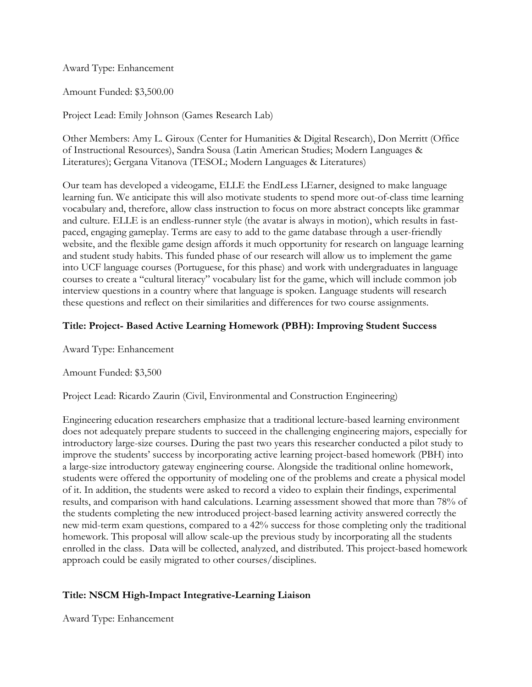Award Type: Enhancement

Amount Funded: \$3,500.00

Project Lead: Emily Johnson (Games Research Lab)

Other Members: Amy L. Giroux (Center for Humanities & Digital Research), Don Merritt (Office of Instructional Resources), Sandra Sousa (Latin American Studies; Modern Languages & Literatures); Gergana Vitanova (TESOL; Modern Languages & Literatures)

Our team has developed a videogame, ELLE the EndLess LEarner, designed to make language learning fun. We anticipate this will also motivate students to spend more out-of-class time learning vocabulary and, therefore, allow class instruction to focus on more abstract concepts like grammar and culture. ELLE is an endless-runner style (the avatar is always in motion), which results in fastpaced, engaging gameplay. Terms are easy to add to the game database through a user-friendly website, and the flexible game design affords it much opportunity for research on language learning and student study habits. This funded phase of our research will allow us to implement the game into UCF language courses (Portuguese, for this phase) and work with undergraduates in language courses to create a "cultural literacy" vocabulary list for the game, which will include common job interview questions in a country where that language is spoken. Language students will research these questions and reflect on their similarities and differences for two course assignments.

## **Title: Project- Based Active Learning Homework (PBH): Improving Student Success**

Award Type: Enhancement

Amount Funded: \$3,500

Project Lead: Ricardo Zaurin (Civil, Environmental and Construction Engineering)

Engineering education researchers emphasize that a traditional lecture-based learning environment does not adequately prepare students to succeed in the challenging engineering majors, especially for introductory large-size courses. During the past two years this researcher conducted a pilot study to improve the students' success by incorporating active learning project-based homework (PBH) into a large-size introductory gateway engineering course. Alongside the traditional online homework, students were offered the opportunity of modeling one of the problems and create a physical model of it. In addition, the students were asked to record a video to explain their findings, experimental results, and comparison with hand calculations. Learning assessment showed that more than 78% of the students completing the new introduced project-based learning activity answered correctly the new mid-term exam questions, compared to a 42% success for those completing only the traditional homework. This proposal will allow scale-up the previous study by incorporating all the students enrolled in the class. Data will be collected, analyzed, and distributed. This project-based homework approach could be easily migrated to other courses/disciplines.

## **Title: NSCM High-Impact Integrative-Learning Liaison**

Award Type: Enhancement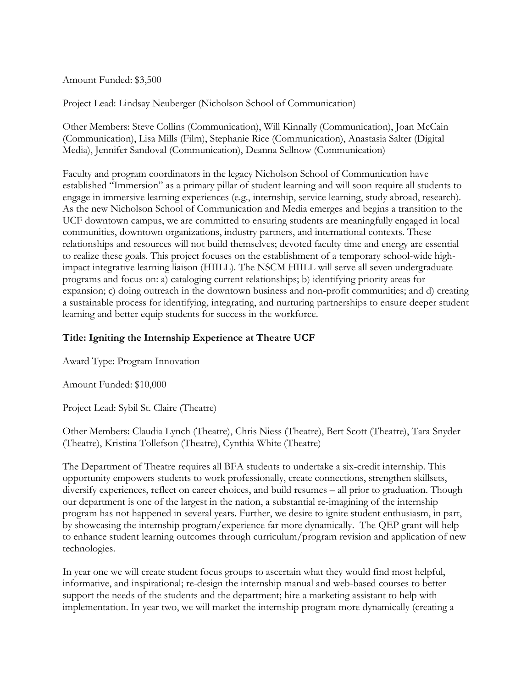Amount Funded: \$3,500

Project Lead: Lindsay Neuberger (Nicholson School of Communication)

Other Members: Steve Collins (Communication), Will Kinnally (Communication), Joan McCain (Communication), Lisa Mills (Film), Stephanie Rice (Communication), Anastasia Salter (Digital Media), Jennifer Sandoval (Communication), Deanna Sellnow (Communication)

Faculty and program coordinators in the legacy Nicholson School of Communication have established "Immersion" as a primary pillar of student learning and will soon require all students to engage in immersive learning experiences (e.g., internship, service learning, study abroad, research). As the new Nicholson School of Communication and Media emerges and begins a transition to the UCF downtown campus, we are committed to ensuring students are meaningfully engaged in local communities, downtown organizations, industry partners, and international contexts. These relationships and resources will not build themselves; devoted faculty time and energy are essential to realize these goals. This project focuses on the establishment of a temporary school-wide highimpact integrative learning liaison (HIILL). The NSCM HIILL will serve all seven undergraduate programs and focus on: a) cataloging current relationships; b) identifying priority areas for expansion; c) doing outreach in the downtown business and non-profit communities; and d) creating a sustainable process for identifying, integrating, and nurturing partnerships to ensure deeper student learning and better equip students for success in the workforce.

## **Title: Igniting the Internship Experience at Theatre UCF**

Award Type: Program Innovation

Amount Funded: \$10,000

Project Lead: Sybil St. Claire (Theatre)

Other Members: Claudia Lynch (Theatre), Chris Niess (Theatre), Bert Scott (Theatre), Tara Snyder (Theatre), Kristina Tollefson (Theatre), Cynthia White (Theatre)

The Department of Theatre requires all BFA students to undertake a six-credit internship. This opportunity empowers students to work professionally, create connections, strengthen skillsets, diversify experiences, reflect on career choices, and build resumes – all prior to graduation. Though our department is one of the largest in the nation, a substantial re-imagining of the internship program has not happened in several years. Further, we desire to ignite student enthusiasm, in part, by showcasing the internship program/experience far more dynamically. The QEP grant will help to enhance student learning outcomes through curriculum/program revision and application of new technologies.

In year one we will create student focus groups to ascertain what they would find most helpful, informative, and inspirational; re-design the internship manual and web-based courses to better support the needs of the students and the department; hire a marketing assistant to help with implementation. In year two, we will market the internship program more dynamically (creating a